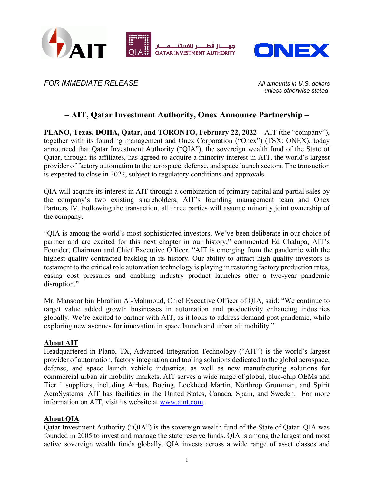



*FOR IMMEDIATE RELEASE All amounts in U.S. dollars*

*unless otherwise stated*

# **– AIT, Qatar Investment Authority, Onex Announce Partnership –**

**PLANO, Texas, DOHA, Qatar, and TORONTO, February 22, 2022** – AIT (the "company"), together with its founding management and Onex Corporation ("Onex") (TSX: ONEX), today announced that Qatar Investment Authority ("QIA"), the sovereign wealth fund of the State of Qatar, through its affiliates, has agreed to acquire a minority interest in AIT, the world's largest provider of factory automation to the aerospace, defense, and space launch sectors. The transaction is expected to close in 2022, subject to regulatory conditions and approvals.

QIA will acquire its interest in AIT through a combination of primary capital and partial sales by the company's two existing shareholders, AIT's founding management team and Onex Partners IV. Following the transaction, all three parties will assume minority joint ownership of the company.

"QIA is among the world's most sophisticated investors. We've been deliberate in our choice of partner and are excited for this next chapter in our history," commented Ed Chalupa, AIT's Founder, Chairman and Chief Executive Officer. "AIT is emerging from the pandemic with the highest quality contracted backlog in its history. Our ability to attract high quality investors is testament to the critical role automation technology is playing in restoring factory production rates, easing cost pressures and enabling industry product launches after a two-year pandemic disruption."

Mr. Mansoor bin Ebrahim Al-Mahmoud, Chief Executive Officer of QIA, said: "We continue to target value added growth businesses in automation and productivity enhancing industries globally. We're excited to partner with AIT, as it looks to address demand post pandemic, while exploring new avenues for innovation in space launch and urban air mobility."

## **About AIT**

Headquartered in Plano, TX, Advanced Integration Technology ("AIT") is the world's largest provider of automation, factory integration and tooling solutions dedicated to the global aerospace, defense, and space launch vehicle industries, as well as new manufacturing solutions for commercial urban air mobility markets. AIT serves a wide range of global, blue-chip OEMs and Tier 1 suppliers, including Airbus, Boeing, Lockheed Martin, Northrop Grumman, and Spirit AeroSystems. AIT has facilities in the United States, Canada, Spain, and Sweden. For more information on AIT, visit its website at [www.aint.com.](https://www.aint.com/)

## **About QIA**

Qatar Investment Authority ("QIA") is the sovereign wealth fund of the State of Qatar. QIA was founded in 2005 to invest and manage the state reserve funds. QIA is among the largest and most active sovereign wealth funds globally. QIA invests across a wide range of asset classes and